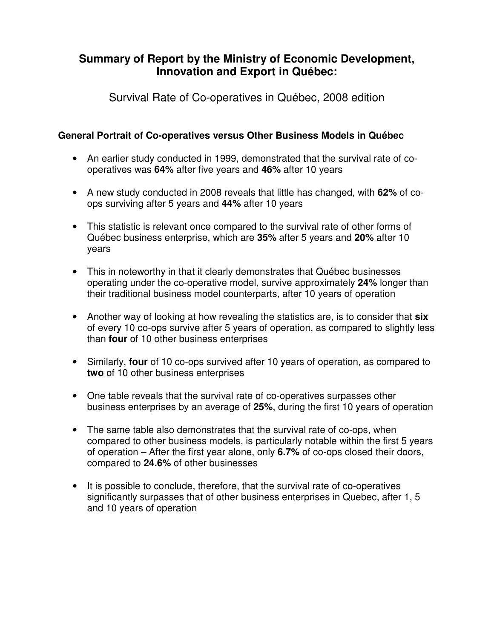# **Summary of Report by the Ministry of Economic Development, Innovation and Export in Québec:**

Survival Rate of Co-operatives in Québec, 2008 edition

## **General Portrait of Co-operatives versus Other Business Models in Québec**

- An earlier study conducted in 1999, demonstrated that the survival rate of cooperatives was **64%** after five years and **46%** after 10 years
- A new study conducted in 2008 reveals that little has changed, with **62%** of coops surviving after 5 years and **44%** after 10 years
- This statistic is relevant once compared to the survival rate of other forms of Québec business enterprise, which are **35%** after 5 years and **20%** after 10 years
- This in noteworthy in that it clearly demonstrates that Québec businesses operating under the co-operative model, survive approximately **24%** longer than their traditional business model counterparts, after 10 years of operation
- Another way of looking at how revealing the statistics are, is to consider that **six** of every 10 co-ops survive after 5 years of operation, as compared to slightly less than **four** of 10 other business enterprises
- Similarly, **four** of 10 co-ops survived after 10 years of operation, as compared to **two** of 10 other business enterprises
- One table reveals that the survival rate of co-operatives surpasses other business enterprises by an average of **25%**, during the first 10 years of operation
- The same table also demonstrates that the survival rate of co-ops, when compared to other business models, is particularly notable within the first 5 years of operation – After the first year alone, only **6.7%** of co-ops closed their doors, compared to **24.6%** of other businesses
- It is possible to conclude, therefore, that the survival rate of co-operatives significantly surpasses that of other business enterprises in Quebec, after 1, 5 and 10 years of operation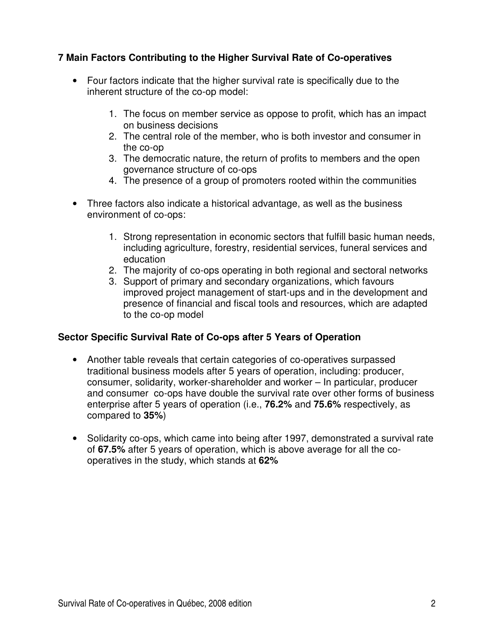## **7 Main Factors Contributing to the Higher Survival Rate of Co-operatives**

- Four factors indicate that the higher survival rate is specifically due to the inherent structure of the co-op model:
	- 1. The focus on member service as oppose to profit, which has an impact on business decisions
	- 2. The central role of the member, who is both investor and consumer in the co-op
	- 3. The democratic nature, the return of profits to members and the open governance structure of co-ops
	- 4. The presence of a group of promoters rooted within the communities
- Three factors also indicate a historical advantage, as well as the business environment of co-ops:
	- 1. Strong representation in economic sectors that fulfill basic human needs, including agriculture, forestry, residential services, funeral services and education
	- 2. The majority of co-ops operating in both regional and sectoral networks
	- 3. Support of primary and secondary organizations, which favours improved project management of start-ups and in the development and presence of financial and fiscal tools and resources, which are adapted to the co-op model

## **Sector Specific Survival Rate of Co-ops after 5 Years of Operation**

- Another table reveals that certain categories of co-operatives surpassed traditional business models after 5 years of operation, including: producer, consumer, solidarity, worker-shareholder and worker – In particular, producer and consumer co-ops have double the survival rate over other forms of business enterprise after 5 years of operation (i.e., **76.2%** and **75.6%** respectively, as compared to **35%**)
- Solidarity co-ops, which came into being after 1997, demonstrated a survival rate of **67.5%** after 5 years of operation, which is above average for all the cooperatives in the study, which stands at **62%**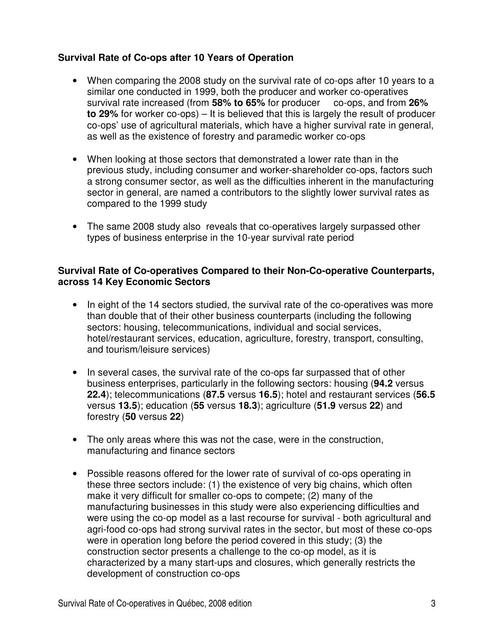## **Survival Rate of Co-ops after 10 Years of Operation**

- When comparing the 2008 study on the survival rate of co-ops after 10 years to a similar one conducted in 1999, both the producer and worker co-operatives survival rate increased (from **58% to 65%** for producer co-ops, and from **26% to 29%** for worker co-ops) – It is believed that this is largely the result of producer co-ops' use of agricultural materials, which have a higher survival rate in general, as well as the existence of forestry and paramedic worker co-ops
- When looking at those sectors that demonstrated a lower rate than in the previous study, including consumer and worker-shareholder co-ops, factors such a strong consumer sector, as well as the difficulties inherent in the manufacturing sector in general, are named a contributors to the slightly lower survival rates as compared to the 1999 study
- The same 2008 study also reveals that co-operatives largely surpassed other types of business enterprise in the 10-year survival rate period

#### **Survival Rate of Co-operatives Compared to their Non-Co-operative Counterparts, across 14 Key Economic Sectors**

- In eight of the 14 sectors studied, the survival rate of the co-operatives was more than double that of their other business counterparts (including the following sectors: housing, telecommunications, individual and social services, hotel/restaurant services, education, agriculture, forestry, transport, consulting, and tourism/leisure services)
- In several cases, the survival rate of the co-ops far surpassed that of other business enterprises, particularly in the following sectors: housing (**94.2** versus **22.4**); telecommunications (**87.5** versus **16.5**); hotel and restaurant services (**56.5** versus **13.5**); education (**55** versus **18.3**); agriculture (**51.9** versus **22**) and forestry (**50** versus **22**)
- The only areas where this was not the case, were in the construction, manufacturing and finance sectors
- Possible reasons offered for the lower rate of survival of co-ops operating in these three sectors include: (1) the existence of very big chains, which often make it very difficult for smaller co-ops to compete; (2) many of the manufacturing businesses in this study were also experiencing difficulties and were using the co-op model as a last recourse for survival - both agricultural and agri-food co-ops had strong survival rates in the sector, but most of these co-ops were in operation long before the period covered in this study; (3) the construction sector presents a challenge to the co-op model, as it is characterized by a many start-ups and closures, which generally restricts the development of construction co-ops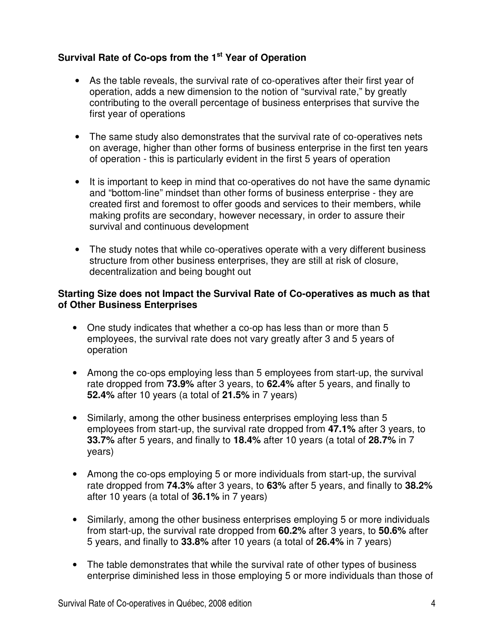# **Survival Rate of Co-ops from the 1st Year of Operation**

- As the table reveals, the survival rate of co-operatives after their first year of operation, adds a new dimension to the notion of "survival rate," by greatly contributing to the overall percentage of business enterprises that survive the first year of operations
- The same study also demonstrates that the survival rate of co-operatives nets on average, higher than other forms of business enterprise in the first ten years of operation - this is particularly evident in the first 5 years of operation
- It is important to keep in mind that co-operatives do not have the same dynamic and "bottom-line" mindset than other forms of business enterprise - they are created first and foremost to offer goods and services to their members, while making profits are secondary, however necessary, in order to assure their survival and continuous development
- The study notes that while co-operatives operate with a very different business structure from other business enterprises, they are still at risk of closure, decentralization and being bought out

#### **Starting Size does not Impact the Survival Rate of Co-operatives as much as that of Other Business Enterprises**

- One study indicates that whether a co-op has less than or more than 5 employees, the survival rate does not vary greatly after 3 and 5 years of operation
- Among the co-ops employing less than 5 employees from start-up, the survival rate dropped from **73.9%** after 3 years, to **62.4%** after 5 years, and finally to **52.4%** after 10 years (a total of **21.5%** in 7 years)
- Similarly, among the other business enterprises employing less than 5 employees from start-up, the survival rate dropped from **47.1%** after 3 years, to **33.7%** after 5 years, and finally to **18.4%** after 10 years (a total of **28.7%** in 7 years)
- Among the co-ops employing 5 or more individuals from start-up, the survival rate dropped from **74.3%** after 3 years, to **63%** after 5 years, and finally to **38.2%** after 10 years (a total of **36.1%** in 7 years)
- Similarly, among the other business enterprises employing 5 or more individuals from start-up, the survival rate dropped from **60.2%** after 3 years, to **50.6%** after 5 years, and finally to **33.8%** after 10 years (a total of **26.4%** in 7 years)
- The table demonstrates that while the survival rate of other types of business enterprise diminished less in those employing 5 or more individuals than those of